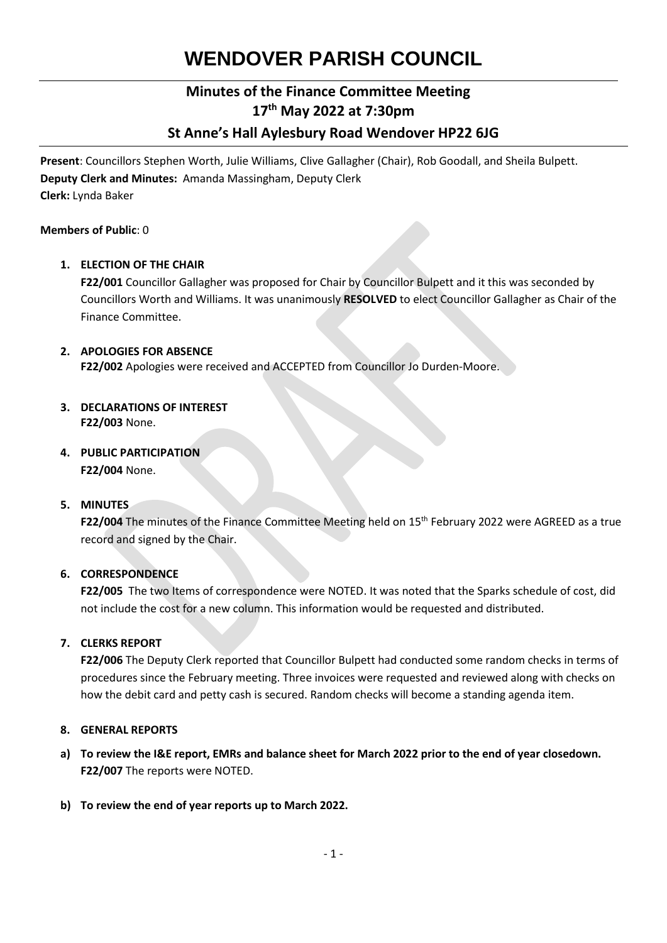# **WENDOVER PARISH COUNCIL**

## **Minutes of the Finance Committee Meeting 17th May 2022 at 7:30pm**

## **St Anne's Hall Aylesbury Road Wendover HP22 6JG**

**Present**: Councillors Stephen Worth, Julie Williams, Clive Gallagher (Chair), Rob Goodall, and Sheila Bulpett. **Deputy Clerk and Minutes:** Amanda Massingham, Deputy Clerk **Clerk:** Lynda Baker

#### **Members of Public**: 0

#### **1. ELECTION OF THE CHAIR**

**F22/001** Councillor Gallagher was proposed for Chair by Councillor Bulpett and it this was seconded by Councillors Worth and Williams. It was unanimously **RESOLVED** to elect Councillor Gallagher as Chair of the Finance Committee.

#### **2. APOLOGIES FOR ABSENCE**

**F22/002** Apologies were received and ACCEPTED from Councillor Jo Durden-Moore.

- **3. DECLARATIONS OF INTEREST F22/003** None.
- **4. PUBLIC PARTICIPATION F22/004** None.

#### **5. MINUTES**

**F22/004** The minutes of the Finance Committee Meeting held on 15<sup>th</sup> February 2022 were AGREED as a true record and signed by the Chair.

#### **6. CORRESPONDENCE**

**F22/005** The two Items of correspondence were NOTED. It was noted that the Sparks schedule of cost, did not include the cost for a new column. This information would be requested and distributed.

#### **7. CLERKS REPORT**

**F22/006** The Deputy Clerk reported that Councillor Bulpett had conducted some random checks in terms of procedures since the February meeting. Three invoices were requested and reviewed along with checks on how the debit card and petty cash is secured. Random checks will become a standing agenda item.

#### **8. GENERAL REPORTS**

- **a) To review the I&E report, EMRs and balance sheet for March 2022 prior to the end of year closedown. F22/007** The reports were NOTED.
- **b) To review the end of year reports up to March 2022.**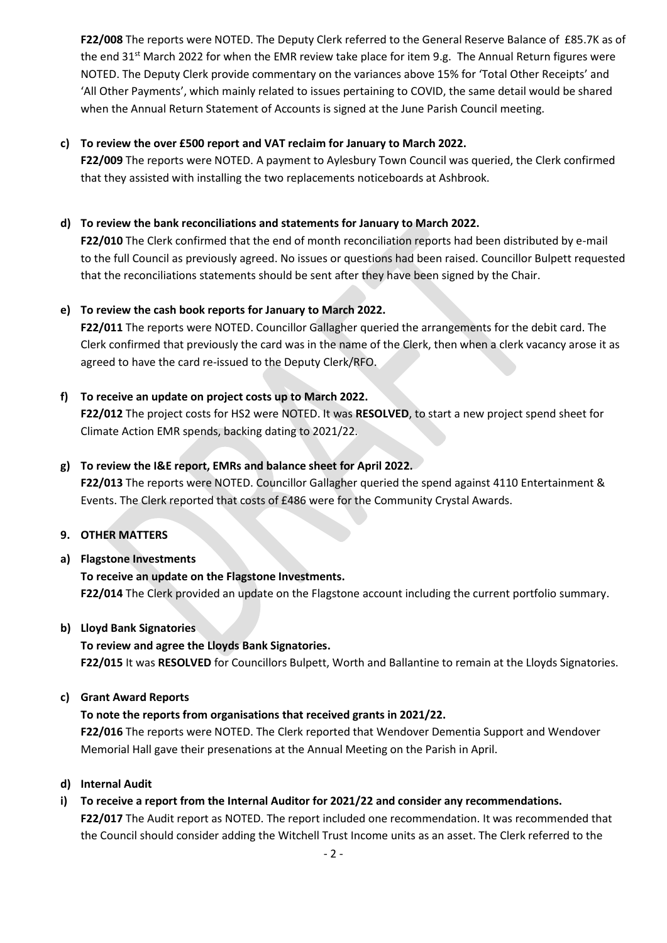**F22/008** The reports were NOTED. The Deputy Clerk referred to the General Reserve Balance of £85.7K as of the end 31<sup>st</sup> March 2022 for when the EMR review take place for item 9.g. The Annual Return figures were NOTED. The Deputy Clerk provide commentary on the variances above 15% for 'Total Other Receipts' and 'All Other Payments', which mainly related to issues pertaining to COVID, the same detail would be shared when the Annual Return Statement of Accounts is signed at the June Parish Council meeting.

#### **c) To review the over £500 report and VAT reclaim for January to March 2022.**

**F22/009** The reports were NOTED. A payment to Aylesbury Town Council was queried, the Clerk confirmed that they assisted with installing the two replacements noticeboards at Ashbrook.

#### **d) To review the bank reconciliations and statements for January to March 2022.**

**F22/010** The Clerk confirmed that the end of month reconciliation reports had been distributed by e-mail to the full Council as previously agreed. No issues or questions had been raised. Councillor Bulpett requested that the reconciliations statements should be sent after they have been signed by the Chair.

#### **e) To review the cash book reports for January to March 2022.**

**F22/011** The reports were NOTED. Councillor Gallagher queried the arrangements for the debit card. The Clerk confirmed that previously the card was in the name of the Clerk, then when a clerk vacancy arose it as agreed to have the card re-issued to the Deputy Clerk/RFO.

#### **f) To receive an update on project costs up to March 2022.**

**F22/012** The project costs for HS2 were NOTED. It was **RESOLVED**, to start a new project spend sheet for Climate Action EMR spends, backing dating to 2021/22.

#### **g) To review the I&E report, EMRs and balance sheet for April 2022.**

**F22/013** The reports were NOTED. Councillor Gallagher queried the spend against 4110 Entertainment & Events. The Clerk reported that costs of £486 were for the Community Crystal Awards.

#### **9. OTHER MATTERS**

#### **a) Flagstone Investments**

## **To receive an update on the Flagstone Investments.**

**F22/014** The Clerk provided an update on the Flagstone account including the current portfolio summary.

#### **b) Lloyd Bank Signatories**

#### **To review and agree the Lloyds Bank Signatories.**

**F22/015** It was **RESOLVED** for Councillors Bulpett, Worth and Ballantine to remain at the Lloyds Signatories.

#### **c) Grant Award Reports**

#### **To note the reports from organisations that received grants in 2021/22.**

**F22/016** The reports were NOTED. The Clerk reported that Wendover Dementia Support and Wendover Memorial Hall gave their presenations at the Annual Meeting on the Parish in April.

#### **d) Internal Audit**

## **i) To receive a report from the Internal Auditor for 2021/22 and consider any recommendations.**

**F22/017** The Audit report as NOTED. The report included one recommendation. It was recommended that the Council should consider adding the Witchell Trust Income units as an asset. The Clerk referred to the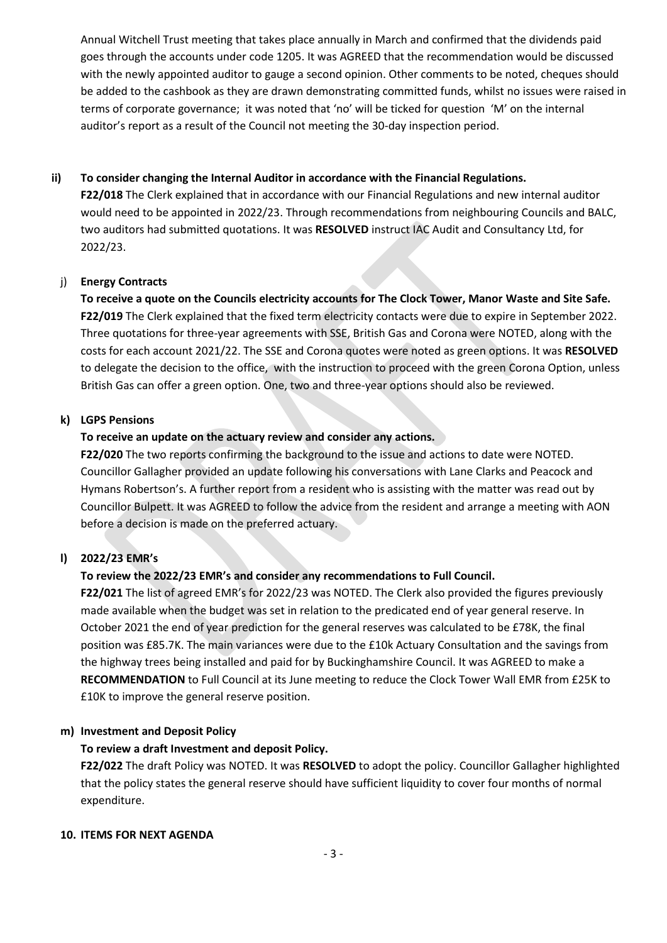Annual Witchell Trust meeting that takes place annually in March and confirmed that the dividends paid goes through the accounts under code 1205. It was AGREED that the recommendation would be discussed with the newly appointed auditor to gauge a second opinion. Other comments to be noted, cheques should be added to the cashbook as they are drawn demonstrating committed funds, whilst no issues were raised in terms of corporate governance; it was noted that 'no' will be ticked for question 'M' on the internal auditor's report as a result of the Council not meeting the 30-day inspection period.

#### **ii) To consider changing the Internal Auditor in accordance with the Financial Regulations.**

**F22/018** The Clerk explained that in accordance with our Financial Regulations and new internal auditor would need to be appointed in 2022/23. Through recommendations from neighbouring Councils and BALC, two auditors had submitted quotations. It was **RESOLVED** instruct IAC Audit and Consultancy Ltd, for 2022/23.

#### j) **Energy Contracts**

**To receive a quote on the Councils electricity accounts for The Clock Tower, Manor Waste and Site Safe. F22/019** The Clerk explained that the fixed term electricity contacts were due to expire in September 2022. Three quotations for three-year agreements with SSE, British Gas and Corona were NOTED, along with the costs for each account 2021/22. The SSE and Corona quotes were noted as green options. It was **RESOLVED** to delegate the decision to the office, with the instruction to proceed with the green Corona Option, unless British Gas can offer a green option. One, two and three-year options should also be reviewed.

#### **k) LGPS Pensions**

### **To receive an update on the actuary review and consider any actions.**

**F22/020** The two reports confirming the background to the issue and actions to date were NOTED. Councillor Gallagher provided an update following his conversations with Lane Clarks and Peacock and Hymans Robertson's. A further report from a resident who is assisting with the matter was read out by Councillor Bulpett. It was AGREED to follow the advice from the resident and arrange a meeting with AON before a decision is made on the preferred actuary.

## **l) 2022/23 EMR's**

## **To review the 2022/23 EMR's and consider any recommendations to Full Council.**

**F22/021** The list of agreed EMR's for 2022/23 was NOTED. The Clerk also provided the figures previously made available when the budget was set in relation to the predicated end of year general reserve. In October 2021 the end of year prediction for the general reserves was calculated to be £78K, the final position was £85.7K. The main variances were due to the £10k Actuary Consultation and the savings from the highway trees being installed and paid for by Buckinghamshire Council. It was AGREED to make a **RECOMMENDATION** to Full Council at its June meeting to reduce the Clock Tower Wall EMR from £25K to £10K to improve the general reserve position.

#### **m) Investment and Deposit Policy**

#### **To review a draft Investment and deposit Policy.**

**F22/022** The draft Policy was NOTED. It was **RESOLVED** to adopt the policy. Councillor Gallagher highlighted that the policy states the general reserve should have sufficient liquidity to cover four months of normal expenditure.

#### **10. ITEMS FOR NEXT AGENDA**